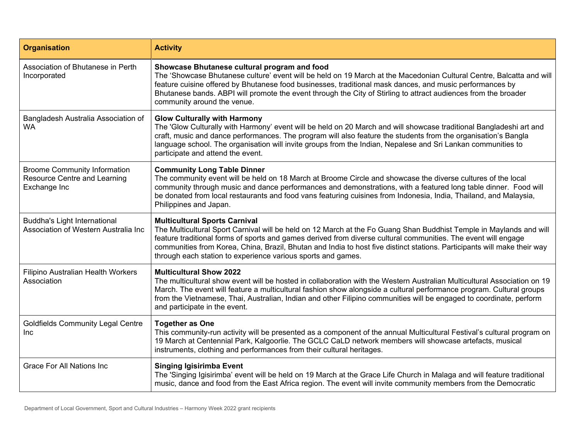| <b>Organisation</b>                                                                        | <b>Activity</b>                                                                                                                                                                                                                                                                                                                                                                                                                                                           |
|--------------------------------------------------------------------------------------------|---------------------------------------------------------------------------------------------------------------------------------------------------------------------------------------------------------------------------------------------------------------------------------------------------------------------------------------------------------------------------------------------------------------------------------------------------------------------------|
| Association of Bhutanese in Perth<br>Incorporated                                          | Showcase Bhutanese cultural program and food<br>The 'Showcase Bhutanese culture' event will be held on 19 March at the Macedonian Cultural Centre, Balcatta and will<br>feature cuisine offered by Bhutanese food businesses, traditional mask dances, and music performances by<br>Bhutanese bands. ABPI will promote the event through the City of Stirling to attract audiences from the broader<br>community around the venue.                                        |
| Bangladesh Australia Association of<br><b>WA</b>                                           | <b>Glow Culturally with Harmony</b><br>The 'Glow Culturally with Harmony' event will be held on 20 March and will showcase traditional Bangladeshi art and<br>craft, music and dance performances. The program will also feature the students from the organisation's Bangla<br>language school. The organisation will invite groups from the Indian, Nepalese and Sri Lankan communities to<br>participate and attend the event.                                         |
| <b>Broome Community Information</b><br><b>Resource Centre and Learning</b><br>Exchange Inc | <b>Community Long Table Dinner</b><br>The community event will be held on 18 March at Broome Circle and showcase the diverse cultures of the local<br>community through music and dance performances and demonstrations, with a featured long table dinner. Food will<br>be donated from local restaurants and food vans featuring cuisines from Indonesia, India, Thailand, and Malaysia,<br>Philippines and Japan.                                                      |
| <b>Buddha's Light International</b><br>Association of Western Australia Inc                | <b>Multicultural Sports Carnival</b><br>The Multicultural Sport Carnival will be held on 12 March at the Fo Guang Shan Buddhist Temple in Maylands and will<br>feature traditional forms of sports and games derived from diverse cultural communities. The event will engage<br>communities from Korea, China, Brazil, Bhutan and India to host five distinct stations. Participants will make their way<br>through each station to experience various sports and games. |
| Filipino Australian Health Workers<br>Association                                          | <b>Multicultural Show 2022</b><br>The multicultural show event will be hosted in collaboration with the Western Australian Multicultural Association on 19<br>March. The event will feature a multicultural fashion show alongside a cultural performance program. Cultural groups<br>from the Vietnamese, Thai, Australian, Indian and other Filipino communities will be engaged to coordinate, perform<br>and participate in the event.                                |
| <b>Goldfields Community Legal Centre</b><br>Inc                                            | <b>Together as One</b><br>This community-run activity will be presented as a component of the annual Multicultural Festival's cultural program on<br>19 March at Centennial Park, Kalgoorlie. The GCLC CaLD network members will showcase artefacts, musical<br>instruments, clothing and performances from their cultural heritages.                                                                                                                                     |
| <b>Grace For All Nations Inc</b>                                                           | <b>Singing Igisirimba Event</b><br>The 'Singing Igisirimba' event will be held on 19 March at the Grace Life Church in Malaga and will feature traditional<br>music, dance and food from the East Africa region. The event will invite community members from the Democratic                                                                                                                                                                                              |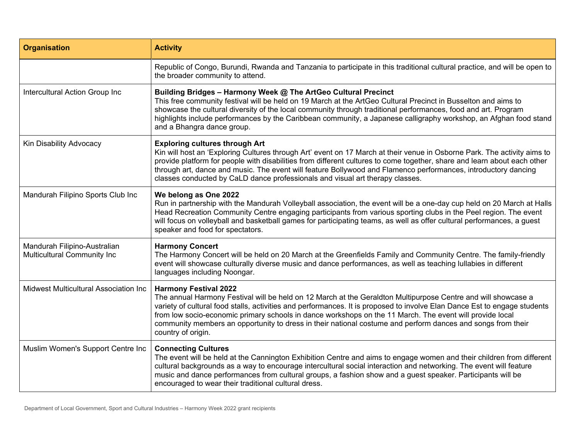| <b>Organisation</b>                                                | <b>Activity</b>                                                                                                                                                                                                                                                                                                                                                                                                                                                                                                             |
|--------------------------------------------------------------------|-----------------------------------------------------------------------------------------------------------------------------------------------------------------------------------------------------------------------------------------------------------------------------------------------------------------------------------------------------------------------------------------------------------------------------------------------------------------------------------------------------------------------------|
|                                                                    | Republic of Congo, Burundi, Rwanda and Tanzania to participate in this traditional cultural practice, and will be open to<br>the broader community to attend.                                                                                                                                                                                                                                                                                                                                                               |
| Intercultural Action Group Inc                                     | Building Bridges - Harmony Week @ The ArtGeo Cultural Precinct<br>This free community festival will be held on 19 March at the ArtGeo Cultural Precinct in Busselton and aims to<br>showcase the cultural diversity of the local community through traditional performances, food and art. Program<br>highlights include performances by the Caribbean community, a Japanese calligraphy workshop, an Afghan food stand<br>and a Bhangra dance group.                                                                       |
| Kin Disability Advocacy                                            | <b>Exploring cultures through Art</b><br>Kin will host an 'Exploring Cultures through Art' event on 17 March at their venue in Osborne Park. The activity aims to<br>provide platform for people with disabilities from different cultures to come together, share and learn about each other<br>through art, dance and music. The event will feature Bollywood and Flamenco performances, introductory dancing<br>classes conducted by CaLD dance professionals and visual art therapy classes.                            |
| Mandurah Filipino Sports Club Inc                                  | We belong as One 2022<br>Run in partnership with the Mandurah Volleyball association, the event will be a one-day cup held on 20 March at Halls<br>Head Recreation Community Centre engaging participants from various sporting clubs in the Peel region. The event<br>will focus on volleyball and basketball games for participating teams, as well as offer cultural performances, a guest<br>speaker and food for spectators.                                                                                           |
| Mandurah Filipino-Australian<br><b>Multicultural Community Inc</b> | <b>Harmony Concert</b><br>The Harmony Concert will be held on 20 March at the Greenfields Family and Community Centre. The family-friendly<br>event will showcase culturally diverse music and dance performances, as well as teaching lullabies in different<br>languages including Noongar.                                                                                                                                                                                                                               |
| Midwest Multicultural Association Inc                              | <b>Harmony Festival 2022</b><br>The annual Harmony Festival will be held on 12 March at the Geraldton Multipurpose Centre and will showcase a<br>variety of cultural food stalls, activities and performances. It is proposed to involve Elan Dance Est to engage students<br>from low socio-economic primary schools in dance workshops on the 11 March. The event will provide local<br>community members an opportunity to dress in their national costume and perform dances and songs from their<br>country of origin. |
| Muslim Women's Support Centre Inc                                  | <b>Connecting Cultures</b><br>The event will be held at the Cannington Exhibition Centre and aims to engage women and their children from different<br>cultural backgrounds as a way to encourage intercultural social interaction and networking. The event will feature<br>music and dance performances from cultural groups, a fashion show and a guest speaker. Participants will be<br>encouraged to wear their traditional cultural dress.                                                                            |